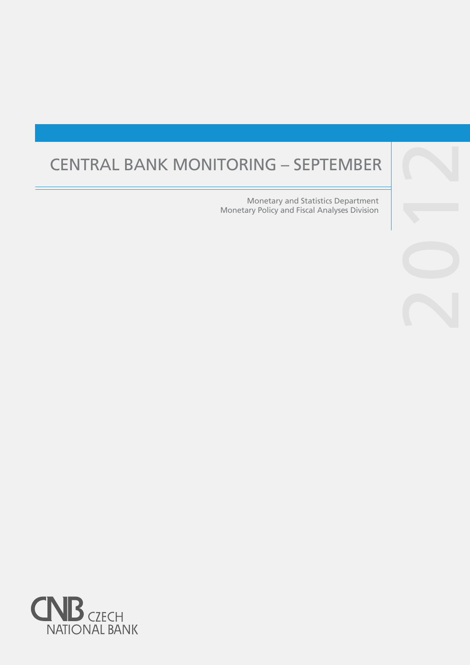# CENTRAL BANK MONITORING – SEPTEMBER

Monetary and Statistics Department Monetary Policy and Fiscal Analyses Division

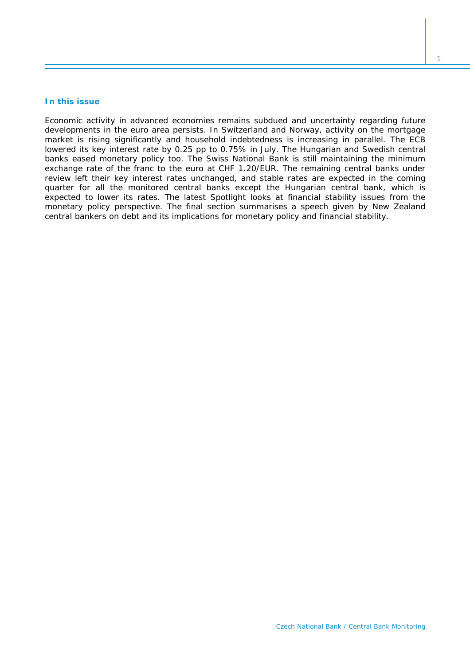## **In this issue**

*Economic activity in advanced economies remains subdued and uncertainty regarding future developments in the euro area persists. In Switzerland and Norway, activity on the mortgage market is rising significantly and household indebtedness is increasing in parallel. The ECB lowered its key interest rate by 0.25 pp to 0.75% in July. The Hungarian and Swedish central banks eased monetary policy too. The Swiss National Bank is still maintaining the minimum*  exchange rate of the franc to the euro at CHF 1.20/EUR. The remaining central banks under *review left their key interest rates unchanged, and stable rates are expected in the coming quarter for all the monitored central banks except the Hungarian central bank, which is expected to lower its rates. The latest* Spotlight *looks at financial stability issues from the monetary policy perspective. The final section summarises a speech given by New Zealand central bankers on debt and its implications for monetary policy and financial stability.*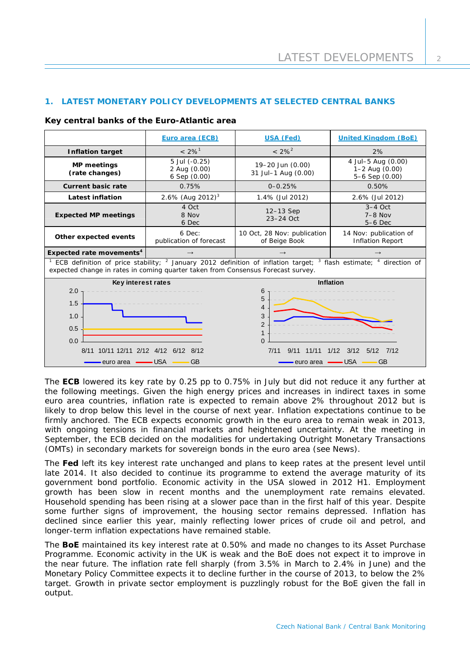## **1. LATEST MONETARY POLICY DEVELOPMENTS AT SELECTED CENTRAL BANKS**

#### **Key central banks of the Euro-Atlantic area**

|                                                                                                                                                                                                                                         | Euro area (ECB)                               | USA (Fed)                                    | <b>United Kingdom (BoE)</b>                                  |  |
|-----------------------------------------------------------------------------------------------------------------------------------------------------------------------------------------------------------------------------------------|-----------------------------------------------|----------------------------------------------|--------------------------------------------------------------|--|
| <b>Inflation target</b>                                                                                                                                                                                                                 | $< 2\%$ <sup>1</sup>                          | $< 2\%^{2}$                                  | 2%                                                           |  |
| <b>MP</b> meetings<br>(rate changes)                                                                                                                                                                                                    | 5 Jul (-0.25)<br>2 Aug (0.00)<br>6 Sep (0.00) | 19-20 Jun (0.00)<br>31 Jul-1 Aug (0.00)      | 4 Jul-5 Aug (0.00)<br>$1 - 2$ Aug $(0.00)$<br>5-6 Sep (0.00) |  |
| <b>Current basic rate</b>                                                                                                                                                                                                               | 0.75%                                         | $0 - 0.25%$                                  | 0.50%                                                        |  |
| Latest inflation                                                                                                                                                                                                                        | 2.6% (Aug 2012) <sup>3</sup>                  | 1.4% (Jul 2012)                              | 2.6% (Jul 2012)                                              |  |
| <b>Expected MP meetings</b>                                                                                                                                                                                                             | 4 Oct<br>8 Nov<br>6 Dec                       | 12-13 Sep<br>$23-24$ Oct                     | $3-4$ Oct<br>$7-8$ Nov<br>$5-6$ Dec                          |  |
| Other expected events                                                                                                                                                                                                                   | 6 Dec:<br>publication of forecast             | 10 Oct, 28 Nov: publication<br>of Beige Book | 14 Nov: publication of<br><b>Inflation Report</b>            |  |
| Expected rate movements <sup>4</sup>                                                                                                                                                                                                    | $\rightarrow$                                 |                                              | $\rightarrow$                                                |  |
| ECB definition of price stability; <sup>2</sup> January 2012 definition of inflation target; <sup>3</sup> flash estimate; <sup>4</sup> direction of<br>expected change in rates in coming quarter taken from Consensus Forecast survey. |                                               |                                              |                                                              |  |
| Key interest rates                                                                                                                                                                                                                      |                                               | Inflation                                    |                                                              |  |
| 2.0<br>1.5<br>1.0                                                                                                                                                                                                                       |                                               | 6<br>5<br>4<br>3                             |                                                              |  |
| 0.5                                                                                                                                                                                                                                     |                                               | $\overline{2}$                               |                                                              |  |
|                                                                                                                                                                                                                                         |                                               |                                              |                                                              |  |
| 0.0<br>8/11 10/11 12/11 2/12 4/12<br>7/11<br>1/12<br>8/12<br>9/11<br>11/11<br>6/12                                                                                                                                                      |                                               |                                              | 3/12<br>5/12<br>7/12                                         |  |
| <b>USA</b><br>GB<br>euro area<br>euro area                                                                                                                                                                                              |                                               |                                              | – USA<br>GB                                                  |  |

The **ECB** lowered its key rate by 0.25 pp to 0.75% in July but did not reduce it any further at the following meetings. Given the high energy prices and increases in indirect taxes in some euro area countries, inflation rate is expected to remain above 2% throughout 2012 but is likely to drop below this level in the course of next year. Inflation expectations continue to be firmly anchored. The ECB expects economic growth in the euro area to remain weak in 2013, with ongoing tensions in financial markets and heightened uncertainty. At the meeting in September, the ECB decided on the modalities for undertaking Outright Monetary Transactions (OMTs) in secondary markets for sovereign bonds in the euro area (see *News*).

The **Fed** left its key interest rate unchanged and plans to keep rates at the present level until late 2014. It also decided to continue its programme to extend the average maturity of its government bond portfolio. Economic activity in the USA slowed in 2012 H1. Employment growth has been slow in recent months and the unemployment rate remains elevated. Household spending has been rising at a slower pace than in the first half of this year. Despite some further signs of improvement, the housing sector remains depressed. Inflation has declined since earlier this year, mainly reflecting lower prices of crude oil and petrol, and longer-term inflation expectations have remained stable.

The **BoE** maintained its key interest rate at 0.50% and made no changes to its Asset Purchase Programme. Economic activity in the UK is weak and the BoE does not expect it to improve in the near future. The inflation rate fell sharply (from 3.5% in March to 2.4% in June) and the Monetary Policy Committee expects it to decline further in the course of 2013, to below the 2% target. Growth in private sector employment is puzzlingly robust for the BoE given the fall in output.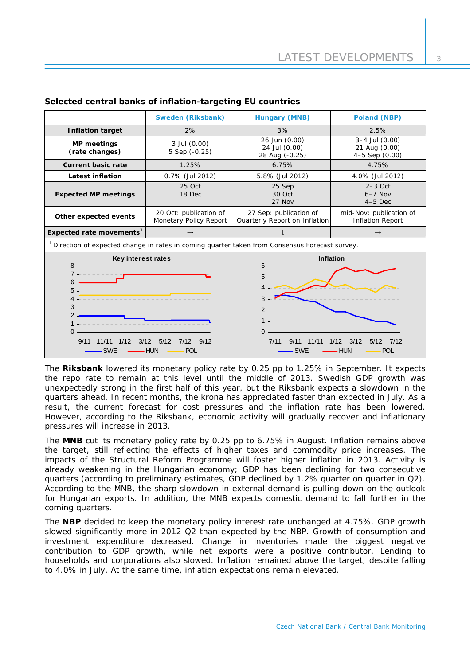|                                                                                                                                                                                                  | Sweden (Riksbank)                                | <b>Hungary (MNB)</b>                                                                                                                                      | Poland (NBP)                                          |  |
|--------------------------------------------------------------------------------------------------------------------------------------------------------------------------------------------------|--------------------------------------------------|-----------------------------------------------------------------------------------------------------------------------------------------------------------|-------------------------------------------------------|--|
| <b>Inflation target</b>                                                                                                                                                                          | 2%                                               | 3%                                                                                                                                                        | 2.5%                                                  |  |
| <b>MP</b> meetings<br>(rate changes)                                                                                                                                                             | 3 Jul (0.00)<br>5 Sep (-0.25)                    | 26 Jun (0.00)<br>24 Jul (0.00)<br>28 Aug (-0.25)                                                                                                          | $3-4$ Jul $(0.00)$<br>21 Aug (0.00)<br>4-5 Sep (0.00) |  |
| <b>Current basic rate</b>                                                                                                                                                                        | 1.25%                                            | 6.75%                                                                                                                                                     | 4.75%                                                 |  |
| <b>Latest inflation</b>                                                                                                                                                                          | 0.7% (Jul 2012)                                  | 5.8% (Jul 2012)                                                                                                                                           | 4.0% (Jul 2012)                                       |  |
| <b>Expected MP meetings</b>                                                                                                                                                                      | 25 Oct<br>18 Dec                                 | 25 Sep<br>30 Oct<br>27 Nov                                                                                                                                | $2-3$ Oct<br>$6-7$ Nov<br>$4-5$ Dec                   |  |
| Other expected events                                                                                                                                                                            | 20 Oct: publication of<br>Monetary Policy Report | 27 Sep: publication of<br>Quarterly Report on Inflation                                                                                                   | mid-Nov: publication of<br><b>Inflation Report</b>    |  |
| Expected rate movements <sup>1</sup>                                                                                                                                                             | $\rightarrow$                                    |                                                                                                                                                           | $\rightarrow$                                         |  |
| Direction of expected change in rates in coming quarter taken from Consensus Forecast survey.                                                                                                    |                                                  |                                                                                                                                                           |                                                       |  |
| Key interest rates<br>8<br>$\overline{7}$<br>6<br>5<br>4<br>3<br>$\overline{2}$<br>1<br>$\Omega$<br>9/11<br>11/11<br>1/12<br>3/12<br>7/12 9/12<br>5/12<br><b>SWE</b><br><b>HUN</b><br><b>POL</b> |                                                  | Inflation<br>6<br>5<br>4<br>3<br>$\overline{2}$<br>$\Omega$<br>1/12<br>3/12<br>7/11<br>9/11<br>11/11<br>5/12<br>7/12<br><b>SWF</b><br>- HUN<br><b>POL</b> |                                                       |  |

## **Selected central banks of inflation-targeting EU countries**

The **Riksbank** lowered its monetary policy rate by 0.25 pp to 1.25% in September. It expects the repo rate to remain at this level until the middle of 2013. Swedish GDP growth was unexpectedly strong in the first half of this year, but the Riksbank expects a slowdown in the quarters ahead. In recent months, the krona has appreciated faster than expected in July. As a result, the current forecast for cost pressures and the inflation rate has been lowered. However, according to the Riksbank, economic activity will gradually recover and inflationary pressures will increase in 2013.

The **MNB** cut its monetary policy rate by 0.25 pp to 6.75% in August. Inflation remains above the target, still reflecting the effects of higher taxes and commodity price increases. The impacts of the Structural Reform Programme will foster higher inflation in 2013. Activity is already weakening in the Hungarian economy; GDP has been declining for two consecutive quarters (according to preliminary estimates, GDP declined by 1.2% quarter on quarter in Q2). According to the MNB, the sharp slowdown in external demand is pulling down on the outlook for Hungarian exports. In addition, the MNB expects domestic demand to fall further in the coming quarters.

The **NBP** decided to keep the monetary policy interest rate unchanged at 4.75%. GDP growth slowed significantly more in 2012 Q2 than expected by the NBP. Growth of consumption and investment expenditure decreased. Change in inventories made the biggest negative contribution to GDP growth, while net exports were a positive contributor. Lending to households and corporations also slowed. Inflation remained above the target, despite falling to 4.0% in July. At the same time, inflation expectations remain elevated.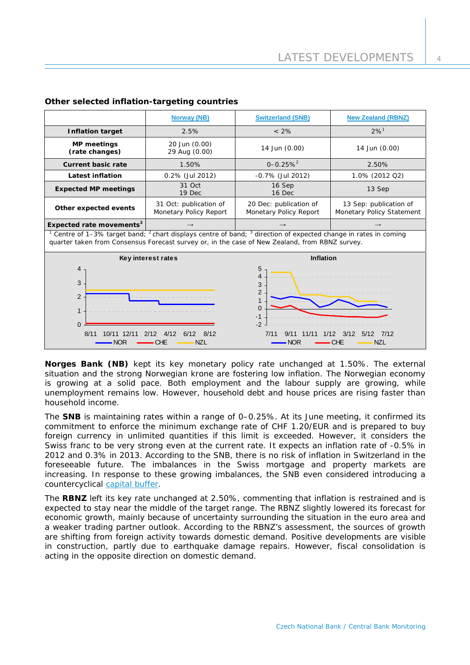|                                                                                                                                                                                                                                                                                                                                                                       | <b>Norway (NB)</b>                               | <b>Switzerland (SNB)</b>                         | <b>New Zealand (RBNZ)</b>                           |  |
|-----------------------------------------------------------------------------------------------------------------------------------------------------------------------------------------------------------------------------------------------------------------------------------------------------------------------------------------------------------------------|--------------------------------------------------|--------------------------------------------------|-----------------------------------------------------|--|
| <b>Inflation target</b>                                                                                                                                                                                                                                                                                                                                               | 2.5%                                             | $< 2\%$                                          | $2%^{1}$                                            |  |
| <b>MP</b> meetings<br>(rate changes)                                                                                                                                                                                                                                                                                                                                  | 20 Jun (0.00)<br>29 Aug (0.00)                   | 14 Jun (0.00)                                    | 14 Jun (0.00)                                       |  |
| <b>Current basic rate</b>                                                                                                                                                                                                                                                                                                                                             | 1.50%                                            | $0 - 0.25%$ <sup>2</sup>                         | 2.50%                                               |  |
| <b>Latest inflation</b>                                                                                                                                                                                                                                                                                                                                               | 0.2% (Jul 2012)                                  | $-0.7\%$ (Jul 2012)                              | 1.0% (2012 Q2)                                      |  |
| <b>Expected MP meetings</b>                                                                                                                                                                                                                                                                                                                                           | 31 Oct<br>19 Dec                                 | 16 Sep<br>16 Dec                                 | 13 Sep                                              |  |
| Other expected events                                                                                                                                                                                                                                                                                                                                                 | 31 Oct: publication of<br>Monetary Policy Report | 20 Dec: publication of<br>Monetary Policy Report | 13 Sep: publication of<br>Monetary Policy Statement |  |
| Expected rate movements <sup>3</sup>                                                                                                                                                                                                                                                                                                                                  |                                                  |                                                  | $\rightarrow$                                       |  |
| <sup>1</sup> Centre of 1–3% target band; <sup>2</sup> chart displays centre of band; <sup>3</sup> direction of expected change in rates in coming<br>quarter taken from Consensus Forecast survey or, in the case of New Zealand, from RBNZ survey.                                                                                                                   |                                                  |                                                  |                                                     |  |
| <b>Inflation</b><br>Key interest rates<br>5<br>$\overline{4}$<br>$\overline{4}$<br>3<br>3<br>$\overline{2}$<br>2<br>$\mathbf{1}$<br>$\Omega$<br>1<br>$-1$<br>$-2$<br>$\Omega$ .<br>8/11<br>10/11 12/11<br>4/12<br>2/12<br>6/12<br>8/12<br>7/11<br>9/11<br>11/11<br>1/12<br>3/12<br>7/12<br>5/12<br><b>NZL</b><br><b>NZL</b><br><b>NOR</b><br>CHE<br><b>CHE</b><br>NOR |                                                  |                                                  |                                                     |  |

### **Other selected inflation-targeting countries**

**Norges Bank (NB)** kept its key monetary policy rate unchanged at 1.50%. The external situation and the strong Norwegian krone are fostering low inflation. The Norwegian economy is growing at a solid pace. Both employment and the labour supply are growing, while unemployment remains low. However, household debt and house prices are rising faster than household income.

commitment to enforce the minimum exchange rate of CHF 1.20/EUR and is prepared to buy The **SNB** is maintaining rates within a range of 0–0.25%. At its June meeting, it confirmed its foreign currency in unlimited quantities if this limit is exceeded. However, it considers the Swiss franc to be very strong even at the current rate. It expects an inflation rate of -0.5% in 2012 and 0.3% in 2013. According to the SNB, there is no risk of inflation in Switzerland in the foreseeable future. The imbalances in the Swiss mortgage and property markets are increasing. In response to these growing imbalances, the SNB even considered introducing a countercyclical [capital buffer](http://www.snb.ch/en/mmr/reference/pre_20120827/source/pre_20120827.en.pdf).

The **RBNZ** left its key rate unchanged at 2.50%, commenting that inflation is restrained and is expected to stay near the middle of the target range. The RBNZ slightly lowered its forecast for economic growth, mainly because of uncertainty surrounding the situation in the euro area and a weaker trading partner outlook. According to the RBNZ's assessment, the sources of growth are shifting from foreign activity towards domestic demand. Positive developments are visible in construction, partly due to earthquake damage repairs. However, fiscal consolidation is acting in the opposite direction on domestic demand.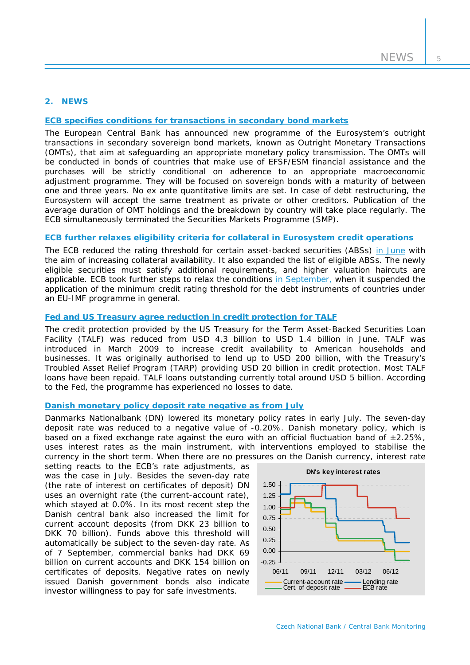## **2. NEWS**

## **[ECB specifies conditions for transactions in secondary bond markets](http://www.ecb.int/press/pr/date/2012/html/pr120906_1.en.html)**

The European Central Bank has announced new programme of the Eurosystem's outright transactions in secondary sovereign bond markets, known as Outright Monetary Transactions (OMTs), that aim at safeguarding an appropriate monetary policy transmission. The OMTs will be conducted in bonds of countries that make use of EFSF/ESM financial assistance and the purchases will be strictly conditional on adherence to an appropriate macroeconomic adjustment programme. They will be focused on sovereign bonds with a maturity of between one and three years. No ex ante quantitative limits are set. In case of debt restructuring, the Eurosystem will accept the same treatment as private or other creditors. Publication of the average duration of OMT holdings and the breakdown by country will take place regularly. The ECB simultaneously terminated the Securities Markets Programme (SMP).

## **ECB further relaxes eligibility criteria for collateral in Eurosystem credit operations**

The ECB reduced the rating threshold for certain asset-backed securities (ABSs) [in June](http://www.ecb.europa.eu/press/pr/date/2012/html/pr120622.en.html) with the aim of increasing collateral availability. It also expanded the list of eligible ABSs. The newly eligible securities must satisfy additional requirements, and higher valuation haircuts are applicable. ECB took further steps to relax the conditions [in September,](http://www.ecb.int/press/pr/date/2012/html/pr120906_2.en.html) when it suspended the application of the minimum credit rating threshold for the debt instruments of countries under an EU-IMF programme in general.

#### **[Fed and US Treasury agree reduction in credit protection for TALF](http://www.federalreserve.gov/newsevents/press/monetary/20120628a.htm)**

The credit protection provided by the US Treasury for the Term Asset-Backed Securities Loan Facility (TALF) was reduced from USD 4.3 billion to USD 1.4 billion in June. TALF was introduced in March 2009 to increase credit availability to American households and businesses. It was originally authorised to lend up to USD 200 billion, with the Treasury's Troubled Asset Relief Program (TARP) providing USD 20 billion in credit protection. Most TALF loans have been repaid. TALF loans outstanding currently total around USD 5 billion. According to the Fed, the programme has experienced no losses to date.

#### **[Danish monetary policy deposit rate negative as from July](http://www.nationalbanken.dk/DNUK/PressRoom.nsf/side/C1256BE9004F4A14C1257A32004CFDB2/$file/DNN201216563.pdf)**

Danmarks Nationalbank (DN) lowered its monetary policy rates in early July. The seven-day deposit rate was reduced to a negative value of -0.20%. Danish monetary policy, which is based on a fixed exchange rate against the euro with an official fluctuation band of  $\pm 2.25\%$ , uses interest rates as the main instrument, with interventions employed to stabilise the currency in the short term. When there are no pressures on the Danish currency, interest rate

setting reacts to the ECB's rate adjustments, as was the case in July. Besides the seven-day rate (the rate of interest on certificates of deposit) DN uses an overnight rate (the current-account rate), which stayed at 0.0%. In its most recent step the Danish central bank also increased the limit for current account deposits (from DKK 23 billion to DKK 70 billion). Funds above this threshold will automatically be subject to the seven-day rate. As of 7 September, commercial banks had DKK 69 billion on current accounts and DKK 154 billion on certificates of deposits. Negative rates on newly issued Danish government bonds also indicate investor willingness to pay for safe investments.

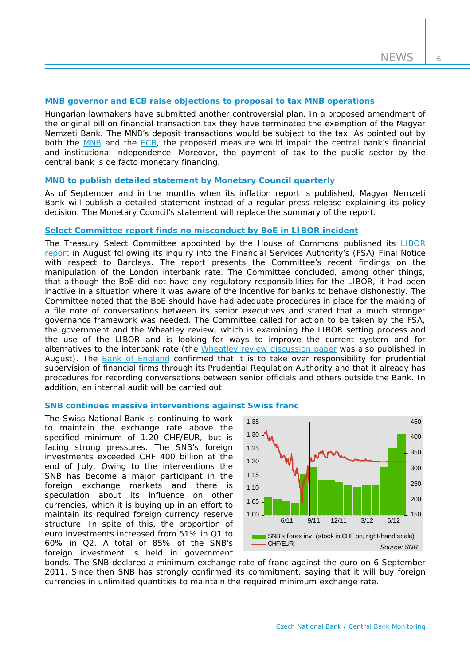6

#### **MNB governor and ECB raise objections to proposal to tax MNB operations**

Hungarian lawmakers have submitted another controversial plan. In a proposed amendment of the original bill on financial transaction tax they have terminated the exemption of the Magyar Nemzeti Bank. The MNB's deposit transactions would be subject to the tax. As pointed out by both the [MNB](http://english.mnb.hu/Root/Dokumentumtar/ENMNB/Sajtoszoba/mnben_sajtokozlemenyek/tranzakciosado-level-120703_final_EN.pdf) and the [ECB](http://www.ecb.europa.eu/ecb/legal/pdf/en_con_2012_59_f_sign.pdf), the proposed measure would impair the central bank's financial and institutional independence. Moreover, the payment of tax to the public sector by the central bank is de facto monetary financing.

## **[MNB to publish detailed statement by Monetary Council quarterly](http://english.mnb.hu/Monetaris_politika/decision-making/mnben_monet_kozlem/mtkozl_20120828_kozlemeny_2)**

As of September and in the months when its inflation report is published, Magyar Nemzeti Bank will publish a detailed statement instead of a regular press release explaining its policy decision. The Monetary Council's statement will replace the summary of the report.

#### **Select Committee report [finds no misconduct by BoE in LIBOR incident](http://www.parliament.uk/business/committees/committees-a-z/commons-select/treasury-committee/news/treasury-committee-publishes-libor-report)**

The Treasury Select Committee appointed by the House of Commons published its [LIBOR](http://www.parliament.uk/documents/commons-committees/treasury/Fixing%20LIBOR_%20some%20preliminary%20findings%20-%20VOL%20I.pdf)  [report](http://www.parliament.uk/documents/commons-committees/treasury/Fixing%20LIBOR_%20some%20preliminary%20findings%20-%20VOL%20I.pdf) in August following its inquiry into the Financial Services Authority's (FSA) Final Notice with respect to Barclays. The report presents the Committee's recent findings on the manipulation of the London interbank rate. The Committee concluded, among other things, that although the BoE did not have any regulatory responsibilities for the LIBOR, it had been inactive in a situation where it was aware of the incentive for banks to behave dishonestly. The Committee noted that the BoE should have had adequate procedures in place for the making of a file note of conversations between its senior executives and stated that a much stronger governance framework was needed. The Committee called for action to be taken by the FSA, the government and the Wheatley review, which is examining the LIBOR setting process and the use of the LIBOR and is looking for ways to improve the current system and for alternatives to the interbank rate (the [Wheatley review discussion paper](http://www.hm-treasury.gov.uk/d/condoc_wheatley_review.pdf) was also published in August). The [Bank of England](http://www.bankofengland.co.uk/publications/Pages/news/2012/072.aspx) confirmed that it is to take over responsibility for prudential supervision of financial firms through its Prudential Regulation Authority and that it already has procedures for recording conversations between senior officials and others outside the Bank. In addition, an internal audit will be carried out.

#### **SNB continues massive interventions against Swiss franc**

The Swiss National Bank is continuing to work to maintain the exchange rate above the specified minimum of 1.20 CHF/EUR, but is facing strong pressures. The SNB's foreign investments exceeded CHF 400 billion at the end of July. Owing to the interventions the SNB has become a major participant in the foreign exchange markets and there is speculation about its influence on other currencies, which it is buying up in an effort to maintain its required foreign currency reserve structure. In spite of this, the proportion of euro investments increased from 51% in Q1 to 60% in Q2. A total of 85% of the SNB's foreign investment is held in government



bonds. The SNB declared a minimum exchange rate of franc against the euro on 6 September 2011. Since then SNB has strongly confirmed its commitment, saying that it will buy foreign currencies in unlimited quantities to maintain the required minimum exchange rate.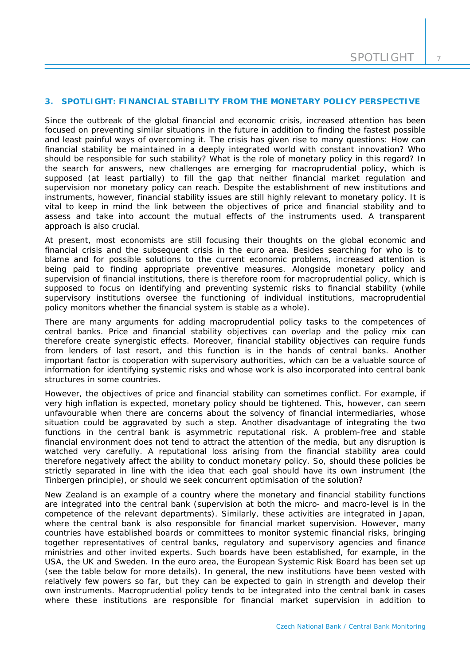### **3. SPOTLIGHT: FINANCIAL STABILITY FROM THE MONETARY POLICY PERSPECTIVE**

*Since the outbreak of the global financial and economic crisis, increased attention has been focused on preventing similar situations in the future in addition to finding the fastest possible and least painful ways of overcoming it. The crisis has given rise to many questions: How can financial stability be maintained in a deeply integrated world with constant innovation? Who should be responsible for such stability? What is the role of monetary policy in this regard? In the search for answers, new challenges are emerging for macroprudential policy, which is supposed (at least partially) to fill the gap that neither financial market regulation and supervision nor monetary policy can reach. Despite the establishment of new institutions and instruments, however, financial stability issues are still highly relevant to monetary policy. It is vital to keep in mind the link between the objectives of price and financial stability and to assess and take into account the mutual effects of the instruments used. A transparent approach is also crucial.* 

At present, most economists are still focusing their thoughts on the global economic and financial crisis and the subsequent crisis in the euro area. Besides searching for who is to blame and for possible solutions to the current economic problems, increased attention is being paid to finding appropriate preventive measures. Alongside monetary policy and supervision of financial institutions, there is therefore room for macroprudential policy, which is supposed to focus on identifying and preventing systemic risks to financial stability (while supervisory institutions oversee the functioning of individual institutions, macroprudential policy monitors whether the financial system is stable as a whole).

There are many arguments for adding macroprudential policy tasks to the competences of central banks. Price and financial stability objectives can overlap and the policy mix can therefore create synergistic effects. Moreover, financial stability objectives can require funds from lenders of last resort, and this function is in the hands of central banks. Another important factor is cooperation with supervisory authorities, which can be a valuable source of information for identifying systemic risks and whose work is also incorporated into central bank structures in some countries.

However, the objectives of price and financial stability can sometimes conflict. For example, if very high inflation is expected, monetary policy should be tightened. This, however, can seem unfavourable when there are concerns about the solvency of financial intermediaries, whose situation could be aggravated by such a step. Another disadvantage of integrating the two functions in the central bank is asymmetric reputational risk. A problem-free and stable financial environment does not tend to attract the attention of the media, but any disruption is watched very carefully. A reputational loss arising from the financial stability area could therefore negatively affect the ability to conduct monetary policy. So, should these policies be strictly separated in line with the idea that each goal should have its own instrument (the Tinbergen principle), or should we seek concurrent optimisation of the solution?

New Zealand is an example of a country where the monetary and financial stability functions are integrated into the central bank (supervision at both the micro- and macro-level is in the competence of the relevant departments). Similarly, these activities are integrated in Japan, where the central bank is also responsible for financial market supervision. However, many countries have established boards or committees to monitor systemic financial risks, bringing together representatives of central banks, regulatory and supervisory agencies and finance ministries and other invited experts. Such boards have been established, for example, in the USA, the UK and Sweden. In the euro area, the European Systemic Risk Board has been set up (see the table below for more details). In general, the new institutions have been vested with relatively few powers so far, but they can be expected to gain in strength and develop their own instruments. Macroprudential policy tends to be integrated into the central bank in cases where these institutions are responsible for financial market supervision in addition to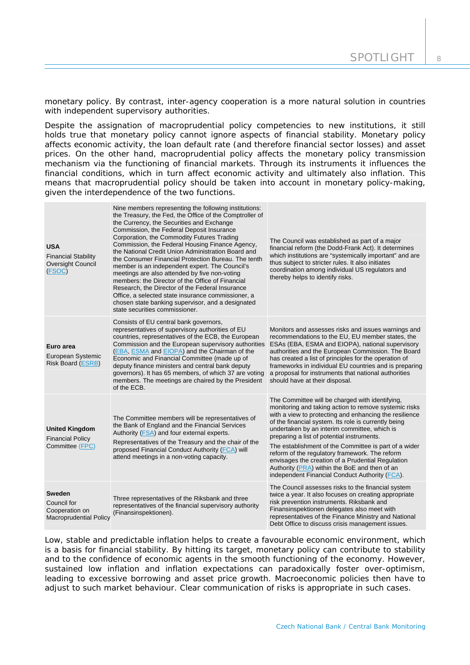monetary policy. By contrast, inter-agency cooperation is a more natural solution in countries with independent supervisory authorities.

Despite the assignation of macroprudential policy competencies to new institutions, it still holds true that monetary policy cannot ignore aspects of financial stability. Monetary policy affects economic activity, the loan default rate (and therefore financial sector losses) and asset prices. On the other hand, macroprudential policy affects the monetary policy transmission mechanism via the functioning of financial markets. Through its instruments it influences the financial conditions, which in turn affect economic activity and ultimately also inflation. This means that macroprudential policy should be taken into account in monetary policy-making, given the interdependence of the two functions.

| <b>USA</b><br><b>Financial Stability</b><br>Oversight Council<br>(FSOC)         | Nine members representing the following institutions:<br>the Treasury, the Fed, the Office of the Comptroller of<br>the Currency, the Securities and Exchange<br>Commission, the Federal Deposit Insurance<br>Corporation, the Commodity Futures Trading<br>Commission, the Federal Housing Finance Agency,<br>the National Credit Union Administration Board and<br>the Consumer Financial Protection Bureau. The tenth<br>member is an independent expert. The Council's<br>meetings are also attended by five non-voting<br>members: the Director of the Office of Financial<br>Research, the Director of the Federal Insurance<br>Office, a selected state insurance commissioner, a<br>chosen state banking supervisor, and a designated<br>state securities commissioner. | The Council was established as part of a major<br>financial reform (the Dodd-Frank Act). It determines<br>which institutions are "systemically important" and are<br>thus subject to stricter rules. It also initiates<br>coordination among individual US regulators and<br>thereby helps to identify risks.                                                                                                                                                                                                                                                                               |
|---------------------------------------------------------------------------------|---------------------------------------------------------------------------------------------------------------------------------------------------------------------------------------------------------------------------------------------------------------------------------------------------------------------------------------------------------------------------------------------------------------------------------------------------------------------------------------------------------------------------------------------------------------------------------------------------------------------------------------------------------------------------------------------------------------------------------------------------------------------------------|---------------------------------------------------------------------------------------------------------------------------------------------------------------------------------------------------------------------------------------------------------------------------------------------------------------------------------------------------------------------------------------------------------------------------------------------------------------------------------------------------------------------------------------------------------------------------------------------|
| Euro area<br>European Systemic<br><b>Risk Board (ESRB)</b>                      | Consists of EU central bank governors,<br>representatives of supervisory authorities of EU<br>countries, representatives of the ECB, the European<br>Commission and the European supervisory authorities<br>(EBA, ESMA and EIOPA) and the Chairman of the<br>Economic and Financial Committee (made up of<br>deputy finance ministers and central bank deputy<br>governors). It has 65 members, of which 37 are voting<br>members. The meetings are chaired by the President<br>of the ECB.                                                                                                                                                                                                                                                                                     | Monitors and assesses risks and issues warnings and<br>recommendations to the EU, EU member states, the<br>ESAs (EBA, ESMA and EIOPA), national supervisory<br>authorities and the European Commission. The Board<br>has created a list of principles for the operation of<br>frameworks in individual EU countries and is preparing<br>a proposal for instruments that national authorities<br>should have at their disposal.                                                                                                                                                              |
| <b>United Kingdom</b><br><b>Financial Policy</b><br>Committee (FPC)             | The Committee members will be representatives of<br>the Bank of England and the Financial Services<br>Authority (FSA) and four external experts.<br>Representatives of the Treasury and the chair of the<br>proposed Financial Conduct Authority (FCA) will<br>attend meetings in a non-voting capacity.                                                                                                                                                                                                                                                                                                                                                                                                                                                                        | The Committee will be charged with identifying,<br>monitoring and taking action to remove systemic risks<br>with a view to protecting and enhancing the resilience<br>of the financial system. Its role is currently being<br>undertaken by an interim committee, which is<br>preparing a list of potential instruments.<br>The establishment of the Committee is part of a wider<br>reform of the regulatory framework. The reform<br>envisages the creation of a Prudential Regulation<br>Authority (PRA) within the BoE and then of an<br>independent Financial Conduct Authority (FCA). |
| <b>Sweden</b><br>Council for<br>Cooperation on<br><b>Macroprudential Policy</b> | Three representatives of the Riksbank and three<br>representatives of the financial supervisory authority<br>(Finansinspektionen).                                                                                                                                                                                                                                                                                                                                                                                                                                                                                                                                                                                                                                              | The Council assesses risks to the financial system<br>twice a year. It also focuses on creating appropriate<br>risk prevention instruments. Riksbank and<br>Finansinspektionen delegates also meet with<br>representatives of the Finance Ministry and National<br>Debt Office to discuss crisis management issues.                                                                                                                                                                                                                                                                         |

Low, stable and predictable inflation helps to create a favourable economic environment, which is a basis for financial stability. By hitting its target, monetary policy can contribute to stability and to the confidence of economic agents in the smooth functioning of the economy. However, sustained low inflation and inflation expectations can paradoxically foster over-optimism, leading to excessive borrowing and asset price growth. Macroeconomic policies then have to adjust to such market behaviour. Clear communication of risks is appropriate in such cases.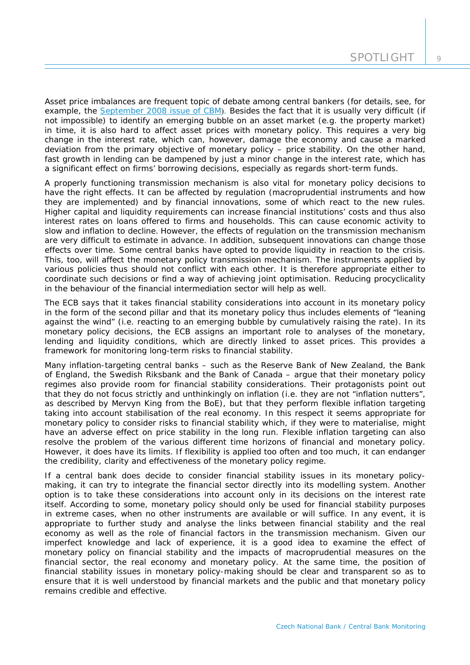Asset price imbalances are frequent topic of debate among central bankers (for details, see, for example, the [September 2008 issue of CBM](http://www.cnb.cz/miranda2/export/sites/www.cnb.cz/en/monetary_policy/monitoring/download/0803_cbm.pdf)). Besides the fact that it is usually very difficult (if not impossible) to identify an emerging bubble on an asset market (e.g. the property market) in time, it is also hard to affect asset prices with monetary policy. This requires a very big change in the interest rate, which can, however, damage the economy and cause a marked deviation from the primary objective of monetary policy – price stability. On the other hand, fast growth in lending can be dampened by just a minor change in the interest rate, which has a significant effect on firms' borrowing decisions, especially as regards short-term funds.

A properly functioning transmission mechanism is also vital for monetary policy decisions to have the right effects. It can be affected by regulation (macroprudential instruments and how they are implemented) and by financial innovations, some of which react to the new rules. Higher capital and liquidity requirements can increase financial institutions' costs and thus also interest rates on loans offered to firms and households. This can cause economic activity to slow and inflation to decline. However, the effects of regulation on the transmission mechanism are very difficult to estimate in advance. In addition, subsequent innovations can change those effects over time. Some central banks have opted to provide liquidity in reaction to the crisis. This, too, will affect the monetary policy transmission mechanism. The instruments applied by various policies thus should not conflict with each other. It is therefore appropriate either to coordinate such decisions or find a way of achieving joint optimisation. Reducing procyclicality in the behaviour of the financial intermediation sector will help as well.

The ECB says that it takes financial stability considerations into account in its monetary policy in the form of the second pillar and that its monetary policy thus includes elements of "leaning against the wind" (i.e. reacting to an emerging bubble by cumulatively raising the rate). In its monetary policy decisions, the ECB assigns an important role to analyses of the monetary, lending and liquidity conditions, which are directly linked to asset prices. This provides a framework for monitoring long-term risks to financial stability.

Many inflation-targeting central banks – such as the Reserve Bank of New Zealand, the Bank of England, the Swedish Riksbank and the Bank of Canada – argue that their monetary policy regimes also provide room for financial stability considerations. Their protagonists point out that they do not focus strictly and unthinkingly on inflation (i.e. they are not "inflation nutters", as described by Mervyn King from the BoE), but that they perform flexible inflation targeting taking into account stabilisation of the real economy. In this respect it seems appropriate for monetary policy to consider risks to financial stability which, if they were to materialise, might have an adverse effect on price stability in the long run. Flexible inflation targeting can also resolve the problem of the various different time horizons of financial and monetary policy. However, it does have its limits. If flexibility is applied too often and too much, it can endanger the credibility, clarity and effectiveness of the monetary policy regime.

If a central bank does decide to consider financial stability issues in its monetary policymaking, it can try to integrate the financial sector directly into its modelling system. Another option is to take these considerations into account only in its decisions on the interest rate itself. According to some, monetary policy should only be used for financial stability purposes in extreme cases, when no other instruments are available or will suffice. In any event, it is appropriate to further study and analyse the links between financial stability and the real economy as well as the role of financial factors in the transmission mechanism. Given our imperfect knowledge and lack of experience, it is a good idea to examine the effect of monetary policy on financial stability and the impacts of macroprudential measures on the financial sector, the real economy and monetary policy. At the same time, the position of financial stability issues in monetary policy-making should be clear and transparent so as to ensure that it is well understood by financial markets and the public and that monetary policy remains credible and effective.